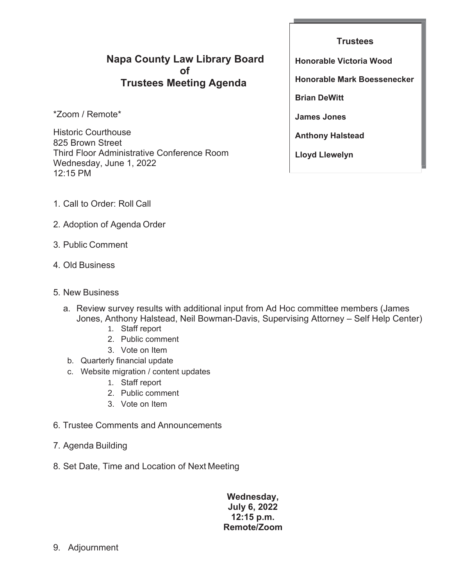## **Napa County Law Library Board of Trustees Meeting Agenda**

\*Zoom / Remote\*

Historic Courthouse 825 Brown Street Third Floor Administrative Conference Room Wednesday, June 1, 2022 12:15 PM

**Trustees Honorable Victoria Wood Honorable Mark Boessenecker Brian DeWitt James Jones Anthony Halstead Lloyd Llewelyn**

- 1. Call to Order: Roll Call
- 2. Adoption of Agenda Order
- 3. Public Comment
- 4. Old Business
- 5. New Business
	- a. Review survey results with additional input from Ad Hoc committee members (James Jones, Anthony Halstead, Neil Bowman-Davis, Supervising Attorney – Self Help Center)
		- 1. Staff report
		- 2. Public comment
		- 3. Vote on Item
	- b. Quarterly financial update
	- c. Website migration / content updates
		- 1. Staff report
		- 2. Public comment
		- 3. Vote on Item
- 6. Trustee Comments and Announcements
- 7. Agenda Building
- 8. Set Date, Time and Location of Next Meeting

### **Wednesday, July 6, 2022 12:15 p.m. Remote/Zoom**

9. Adjournment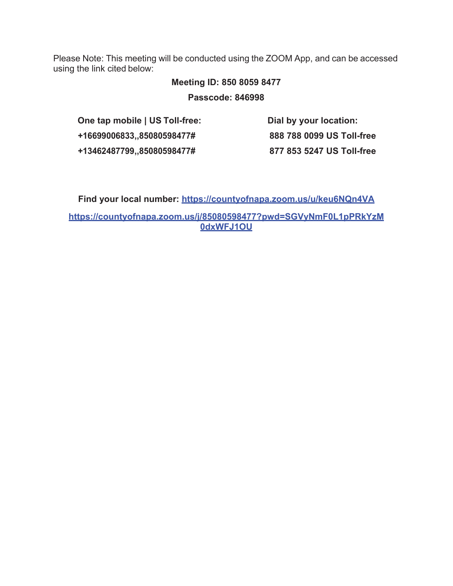Please Note: This meeting will be conducted using the ZOOM App, and can be accessed using the link cited below:

# **Meeting ID: 850 8059 8477**

**Passcode: 846998**

**One tap mobile | US Toll-free: +16699006833,,85080598477# +13462487799,,85080598477#**

**Dial by your location: 888 788 0099 US Toll-free 877 853 5247 US Toll-free**

**Find your local number: https://countyofnapa.zoom.us/u/keu6NQn4VA https://countyofnapa.zoom.us/j/85080598477?pwd=SGVyNmF0L1pPRkYzM**

**0dxWFJ1OU**